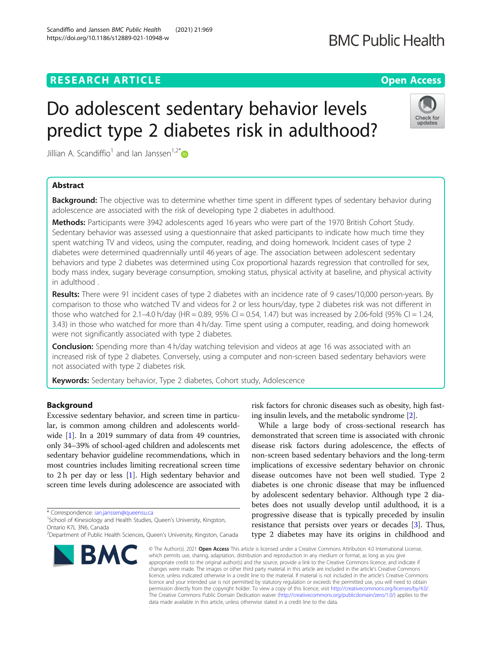# **RESEARCH ARTICLE Example 2014 CONSIDERING A RESEARCH ARTICLE**

# Do adolescent sedentary behavior levels predict type 2 diabetes risk in adulthood?

Jillian A. Scandiffio<sup>1</sup> and Ian Janssen<sup>1,2[\\*](http://orcid.org/0000-0003-2159-3012)</sup>

## Abstract

**Background:** The objective was to determine whether time spent in different types of sedentary behavior during adolescence are associated with the risk of developing type 2 diabetes in adulthood.

Methods: Participants were 3942 adolescents aged 16 years who were part of the 1970 British Cohort Study. Sedentary behavior was assessed using a questionnaire that asked participants to indicate how much time they spent watching TV and videos, using the computer, reading, and doing homework. Incident cases of type 2 diabetes were determined quadrennially until 46 years of age. The association between adolescent sedentary behaviors and type 2 diabetes was determined using Cox proportional hazards regression that controlled for sex, body mass index, sugary beverage consumption, smoking status, physical activity at baseline, and physical activity in adulthood .

Results: There were 91 incident cases of type 2 diabetes with an incidence rate of 9 cases/10,000 person-years. By comparison to those who watched TV and videos for 2 or less hours/day, type 2 diabetes risk was not different in those who watched for 2.1–4.0 h/day (HR = 0.89, 95% CI = 0.54, 1.47) but was increased by 2.06-fold (95% CI = 1.24, 3.43) in those who watched for more than 4 h/day. Time spent using a computer, reading, and doing homework were not significantly associated with type 2 diabetes.

Conclusion: Spending more than 4 h/day watching television and videos at age 16 was associated with an increased risk of type 2 diabetes. Conversely, using a computer and non-screen based sedentary behaviors were not associated with type 2 diabetes risk.

Keywords: Sedentary behavior, Type 2 diabetes, Cohort study, Adolescence

## Background

Excessive sedentary behavior, and screen time in particular, is common among children and adolescents worldwide [\[1](#page-8-0)]. In a 2019 summary of data from 49 countries, only 34–39% of school-aged children and adolescents met sedentary behavior guideline recommendations, which in most countries includes limiting recreational screen time to 2 h per day or less  $[1]$  $[1]$ . High sedentary behavior and screen time levels during adolescence are associated with

\* Correspondence: [ian.janssen@queensu.ca](mailto:ian.janssen@queensu.ca) <sup>1</sup>

**BMC** 

## risk factors for chronic diseases such as obesity, high fasting insulin levels, and the metabolic syndrome [\[2](#page-8-0)].

While a large body of cross-sectional research has demonstrated that screen time is associated with chronic disease risk factors during adolescence, the effects of non-screen based sedentary behaviors and the long-term implications of excessive sedentary behavior on chronic disease outcomes have not been well studied. Type 2 diabetes is one chronic disease that may be influenced by adolescent sedentary behavior. Although type 2 diabetes does not usually develop until adulthood, it is a progressive disease that is typically preceded by insulin resistance that persists over years or decades [\[3](#page-8-0)]. Thus, type 2 diabetes may have its origins in childhood and

© The Author(s), 2021 **Open Access** This article is licensed under a Creative Commons Attribution 4.0 International License, which permits use, sharing, adaptation, distribution and reproduction in any medium or format, as long as you give appropriate credit to the original author(s) and the source, provide a link to the Creative Commons licence, and indicate if changes were made. The images or other third party material in this article are included in the article's Creative Commons licence, unless indicated otherwise in a credit line to the material. If material is not included in the article's Creative Commons licence and your intended use is not permitted by statutory regulation or exceeds the permitted use, you will need to obtain permission directly from the copyright holder. To view a copy of this licence, visit [http://creativecommons.org/licenses/by/4.0/.](http://creativecommons.org/licenses/by/4.0/) The Creative Commons Public Domain Dedication waiver [\(http://creativecommons.org/publicdomain/zero/1.0/](http://creativecommons.org/publicdomain/zero/1.0/)) applies to the data made available in this article, unless otherwise stated in a credit line to the data.







<sup>&</sup>lt;sup>1</sup>School of Kinesiology and Health Studies, Queen's University, Kingston, Ontario K7L 3N6, Canada

<sup>&</sup>lt;sup>2</sup>Department of Public Health Sciences, Queen's University, Kingston, Canada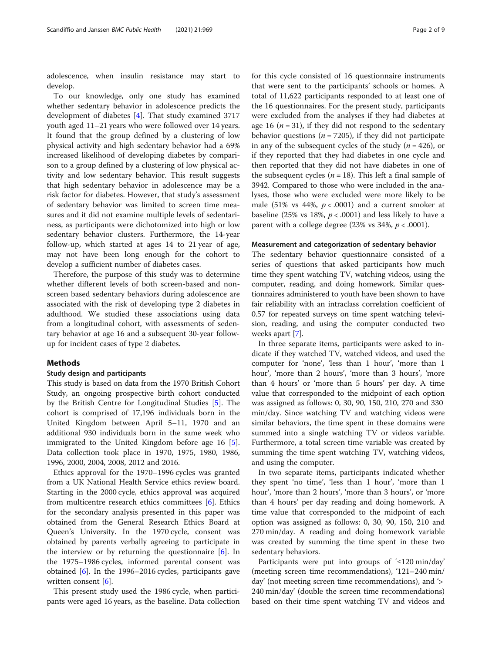adolescence, when insulin resistance may start to develop.

To our knowledge, only one study has examined whether sedentary behavior in adolescence predicts the development of diabetes [[4\]](#page-8-0). That study examined 3717 youth aged 11–21 years who were followed over 14 years. It found that the group defined by a clustering of low physical activity and high sedentary behavior had a 69% increased likelihood of developing diabetes by comparison to a group defined by a clustering of low physical activity and low sedentary behavior. This result suggests that high sedentary behavior in adolescence may be a risk factor for diabetes. However, that study's assessment of sedentary behavior was limited to screen time measures and it did not examine multiple levels of sedentariness, as participants were dichotomized into high or low sedentary behavior clusters. Furthermore, the 14-year follow-up, which started at ages 14 to 21 year of age, may not have been long enough for the cohort to develop a sufficient number of diabetes cases.

Therefore, the purpose of this study was to determine whether different levels of both screen-based and nonscreen based sedentary behaviors during adolescence are associated with the risk of developing type 2 diabetes in adulthood. We studied these associations using data from a longitudinal cohort, with assessments of sedentary behavior at age 16 and a subsequent 30-year followup for incident cases of type 2 diabetes.

## Methods

## Study design and participants

This study is based on data from the 1970 British Cohort Study, an ongoing prospective birth cohort conducted by the British Centre for Longitudinal Studies [[5\]](#page-8-0). The cohort is comprised of 17,196 individuals born in the United Kingdom between April 5–11, 1970 and an additional 930 individuals born in the same week who immigrated to the United Kingdom before age 16 [\[5](#page-8-0)]. Data collection took place in 1970, 1975, 1980, 1986, 1996, 2000, 2004, 2008, 2012 and 2016.

Ethics approval for the 1970–1996 cycles was granted from a UK National Health Service ethics review board. Starting in the 2000 cycle, ethics approval was acquired from multicentre research ethics committees [[6\]](#page-8-0). Ethics for the secondary analysis presented in this paper was obtained from the General Research Ethics Board at Queen's University. In the 1970 cycle, consent was obtained by parents verbally agreeing to participate in the interview or by returning the questionnaire [\[6](#page-8-0)]. In the 1975–1986 cycles, informed parental consent was obtained [\[6](#page-8-0)]. In the 1996–2016 cycles, participants gave written consent [[6\]](#page-8-0).

This present study used the 1986 cycle, when participants were aged 16 years, as the baseline. Data collection for this cycle consisted of 16 questionnaire instruments that were sent to the participants' schools or homes. A total of 11,622 participants responded to at least one of the 16 questionnaires. For the present study, participants were excluded from the analyses if they had diabetes at age 16 ( $n = 31$ ), if they did not respond to the sedentary behavior questions ( $n = 7205$ ), if they did not participate in any of the subsequent cycles of the study  $(n = 426)$ , or if they reported that they had diabetes in one cycle and then reported that they did not have diabetes in one of the subsequent cycles ( $n = 18$ ). This left a final sample of 3942. Compared to those who were included in the analyses, those who were excluded were more likely to be male (51% vs 44%,  $p < .0001$ ) and a current smoker at baseline (25% vs 18%,  $p < .0001$ ) and less likely to have a parent with a college degree (23% vs 34%,  $p < .0001$ ).

## Measurement and categorization of sedentary behavior

The sedentary behavior questionnaire consisted of a series of questions that asked participants how much time they spent watching TV, watching videos, using the computer, reading, and doing homework. Similar questionnaires administered to youth have been shown to have fair reliability with an intraclass correlation coefficient of 0.57 for repeated surveys on time spent watching television, reading, and using the computer conducted two weeks apart [\[7](#page-8-0)].

In three separate items, participants were asked to indicate if they watched TV, watched videos, and used the computer for 'none', 'less than 1 hour', 'more than 1 hour', 'more than 2 hours', 'more than 3 hours', 'more than 4 hours' or 'more than 5 hours' per day. A time value that corresponded to the midpoint of each option was assigned as follows: 0, 30, 90, 150, 210, 270 and 330 min/day. Since watching TV and watching videos were similar behaviors, the time spent in these domains were summed into a single watching TV or videos variable. Furthermore, a total screen time variable was created by summing the time spent watching TV, watching videos, and using the computer.

In two separate items, participants indicated whether they spent 'no time', 'less than 1 hour', 'more than 1 hour', 'more than 2 hours', 'more than 3 hours', or 'more than 4 hours' per day reading and doing homework. A time value that corresponded to the midpoint of each option was assigned as follows: 0, 30, 90, 150, 210 and 270 min/day. A reading and doing homework variable was created by summing the time spent in these two sedentary behaviors.

Participants were put into groups of '≤120 min/day' (meeting screen time recommendations), '121–240 min/ day' (not meeting screen time recommendations), and '> 240 min/day' (double the screen time recommendations) based on their time spent watching TV and videos and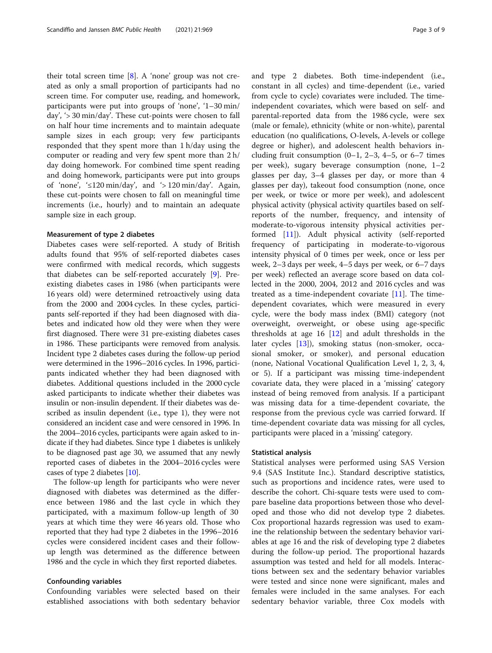their total screen time [\[8](#page-8-0)]. A 'none' group was not created as only a small proportion of participants had no screen time. For computer use, reading, and homework, participants were put into groups of 'none', '1–30 min/ day', '> 30 min/day'. These cut-points were chosen to fall on half hour time increments and to maintain adequate sample sizes in each group; very few participants responded that they spent more than 1 h/day using the computer or reading and very few spent more than 2 h/ day doing homework. For combined time spent reading and doing homework, participants were put into groups of 'none', '≤120 min/day', and '> 120 min/day'. Again, these cut-points were chosen to fall on meaningful time increments (i.e., hourly) and to maintain an adequate sample size in each group.

## Measurement of type 2 diabetes

Diabetes cases were self-reported. A study of British adults found that 95% of self-reported diabetes cases were confirmed with medical records, which suggests that diabetes can be self-reported accurately [[9\]](#page-8-0). Preexisting diabetes cases in 1986 (when participants were 16 years old) were determined retroactively using data from the 2000 and 2004 cycles. In these cycles, participants self-reported if they had been diagnosed with diabetes and indicated how old they were when they were first diagnosed. There were 31 pre-existing diabetes cases in 1986. These participants were removed from analysis. Incident type 2 diabetes cases during the follow-up period were determined in the 1996–2016 cycles. In 1996, participants indicated whether they had been diagnosed with diabetes. Additional questions included in the 2000 cycle asked participants to indicate whether their diabetes was insulin or non-insulin dependent. If their diabetes was described as insulin dependent (i.e., type 1), they were not considered an incident case and were censored in 1996. In the 2004–2016 cycles, participants were again asked to indicate if they had diabetes. Since type 1 diabetes is unlikely to be diagnosed past age 30, we assumed that any newly reported cases of diabetes in the 2004–2016 cycles were cases of type 2 diabetes [\[10\]](#page-8-0).

The follow-up length for participants who were never diagnosed with diabetes was determined as the difference between 1986 and the last cycle in which they participated, with a maximum follow-up length of 30 years at which time they were 46 years old. Those who reported that they had type 2 diabetes in the 1996–2016 cycles were considered incident cases and their followup length was determined as the difference between 1986 and the cycle in which they first reported diabetes.

## Confounding variables

Confounding variables were selected based on their established associations with both sedentary behavior and type 2 diabetes. Both time-independent (i.e., constant in all cycles) and time-dependent (i.e., varied from cycle to cycle) covariates were included. The timeindependent covariates, which were based on self- and parental-reported data from the 1986 cycle, were sex (male or female), ethnicity (white or non-white), parental education (no qualifications, O-levels, A-levels or college degree or higher), and adolescent health behaviors including fruit consumption  $(0-1, 2-3, 4-5, 0r, 6-7)$  times per week), sugary beverage consumption (none, 1–2 glasses per day, 3–4 glasses per day, or more than 4 glasses per day), takeout food consumption (none, once per week, or twice or more per week), and adolescent physical activity (physical activity quartiles based on selfreports of the number, frequency, and intensity of moderate-to-vigorous intensity physical activities performed [[11\]](#page-8-0)). Adult physical activity (self-reported frequency of participating in moderate-to-vigorous intensity physical of 0 times per week, once or less per week, 2–3 days per week, 4–5 days per week, or 6–7 days per week) reflected an average score based on data collected in the 2000, 2004, 2012 and 2016 cycles and was treated as a time-independent covariate  $[11]$  $[11]$  $[11]$ . The timedependent covariates, which were measured in every cycle, were the body mass index (BMI) category (not overweight, overweight, or obese using age-specific thresholds at age  $16$   $\left[12\right]$  $\left[12\right]$  $\left[12\right]$  and adult thresholds in the later cycles [[13\]](#page-8-0)), smoking status (non-smoker, occasional smoker, or smoker), and personal education (none, National Vocational Qualification Level 1, 2, 3, 4, or 5). If a participant was missing time-independent covariate data, they were placed in a 'missing' category instead of being removed from analysis. If a participant was missing data for a time-dependent covariate, the response from the previous cycle was carried forward. If time-dependent covariate data was missing for all cycles, participants were placed in a 'missing' category.

## Statistical analysis

Statistical analyses were performed using SAS Version 9.4 (SAS Institute Inc.). Standard descriptive statistics, such as proportions and incidence rates, were used to describe the cohort. Chi-square tests were used to compare baseline data proportions between those who developed and those who did not develop type 2 diabetes. Cox proportional hazards regression was used to examine the relationship between the sedentary behavior variables at age 16 and the risk of developing type 2 diabetes during the follow-up period. The proportional hazards assumption was tested and held for all models. Interactions between sex and the sedentary behavior variables were tested and since none were significant, males and females were included in the same analyses. For each sedentary behavior variable, three Cox models with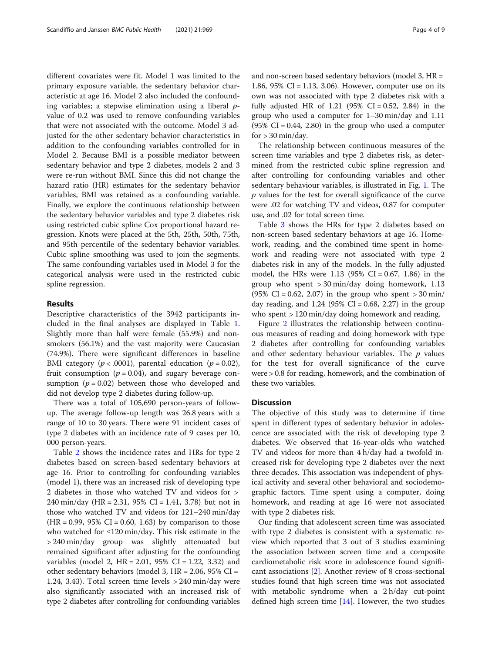different covariates were fit. Model 1 was limited to the primary exposure variable, the sedentary behavior characteristic at age 16. Model 2 also included the confounding variables; a stepwise elimination using a liberal  $p$ value of 0.2 was used to remove confounding variables that were not associated with the outcome. Model 3 adjusted for the other sedentary behavior characteristics in addition to the confounding variables controlled for in Model 2. Because BMI is a possible mediator between sedentary behavior and type 2 diabetes, models 2 and 3 were re-run without BMI. Since this did not change the hazard ratio (HR) estimates for the sedentary behavior variables, BMI was retained as a confounding variable. Finally, we explore the continuous relationship between the sedentary behavior variables and type 2 diabetes risk using restricted cubic spline Cox proportional hazard regression. Knots were placed at the 5th, 25th, 50th, 75th, and 95th percentile of the sedentary behavior variables. Cubic spline smoothing was used to join the segments. The same confounding variables used in Model 3 for the categorical analysis were used in the restricted cubic spline regression.

## Results

Descriptive characteristics of the 3942 participants included in the final analyses are displayed in Table [1](#page-4-0). Slightly more than half were female (55.9%) and nonsmokers (56.1%) and the vast majority were Caucasian (74.9%). There were significant differences in baseline BMI category ( $p < .0001$ ), parental education ( $p = 0.02$ ), fruit consumption ( $p = 0.04$ ), and sugary beverage consumption ( $p = 0.02$ ) between those who developed and did not develop type 2 diabetes during follow-up.

There was a total of 105,690 person-years of followup. The average follow-up length was 26.8 years with a range of 10 to 30 years. There were 91 incident cases of type 2 diabetes with an incidence rate of 9 cases per 10, 000 person-years.

Table [2](#page-5-0) shows the incidence rates and HRs for type 2 diabetes based on screen-based sedentary behaviors at age 16. Prior to controlling for confounding variables (model 1), there was an increased risk of developing type 2 diabetes in those who watched TV and videos for > 240 min/day (HR = 2.31, 95% CI = 1.41, 3.78) but not in those who watched TV and videos for 121–240 min/day  $(HR = 0.99, 95\% \text{ CI} = 0.60, 1.63)$  by comparison to those who watched for  $\leq 120 \text{ min/day}$ . This risk estimate in the > 240 min/day group was slightly attenuated but remained significant after adjusting for the confounding variables (model 2, HR = 2.01, 95% CI = 1.22, 3.32) and other sedentary behaviors (model 3,  $HR = 2.06$ , 95%  $CI =$ 1.24, 3.43). Total screen time levels > 240 min/day were also significantly associated with an increased risk of type 2 diabetes after controlling for confounding variables and non-screen based sedentary behaviors (model 3, HR = 1.86,  $95\%$  CI = 1.13, 3.06). However, computer use on its own was not associated with type 2 diabetes risk with a fully adjusted HR of 1.21 (95% CI = 0.52, 2.84) in the group who used a computer for 1–30 min/day and 1.11  $(95\% \text{ CI} = 0.44, 2.80)$  in the group who used a computer for  $> 30$  min/day.

The relationship between continuous measures of the screen time variables and type 2 diabetes risk, as determined from the restricted cubic spline regression and after controlling for confounding variables and other sedentary behaviour variables, is illustrated in Fig. [1](#page-6-0). The p values for the test for overall significance of the curve were .02 for watching TV and videos, 0.87 for computer use, and .02 for total screen time.

Table [3](#page-6-0) shows the HRs for type 2 diabetes based on non-screen based sedentary behaviors at age 16. Homework, reading, and the combined time spent in homework and reading were not associated with type 2 diabetes risk in any of the models. In the fully adjusted model, the HRs were  $1.13$  (95% CI = 0.67, 1.86) in the group who spent > 30 min/day doing homework, 1.13  $(95\% \text{ CI} = 0.62, 2.07)$  in the group who spent  $> 30 \text{ min/s}$ day reading, and  $1.24$  (95% CI = 0.68, 2.27) in the group who spent > 120 min/day doing homework and reading.

Figure [2](#page-7-0) illustrates the relationship between continuous measures of reading and doing homework with type 2 diabetes after controlling for confounding variables and other sedentary behaviour variables. The  $p$  values for the test for overall significance of the curve were > 0.8 for reading, homework, and the combination of these two variables.

## **Discussion**

The objective of this study was to determine if time spent in different types of sedentary behavior in adolescence are associated with the risk of developing type 2 diabetes. We observed that 16-year-olds who watched TV and videos for more than 4 h/day had a twofold increased risk for developing type 2 diabetes over the next three decades. This association was independent of physical activity and several other behavioral and sociodemographic factors. Time spent using a computer, doing homework, and reading at age 16 were not associated with type 2 diabetes risk.

Our finding that adolescent screen time was associated with type 2 diabetes is consistent with a systematic review which reported that 3 out of 3 studies examining the association between screen time and a composite cardiometabolic risk score in adolescence found significant associations [[2\]](#page-8-0). Another review of 8 cross-sectional studies found that high screen time was not associated with metabolic syndrome when a 2 h/day cut-point defined high screen time [\[14](#page-8-0)]. However, the two studies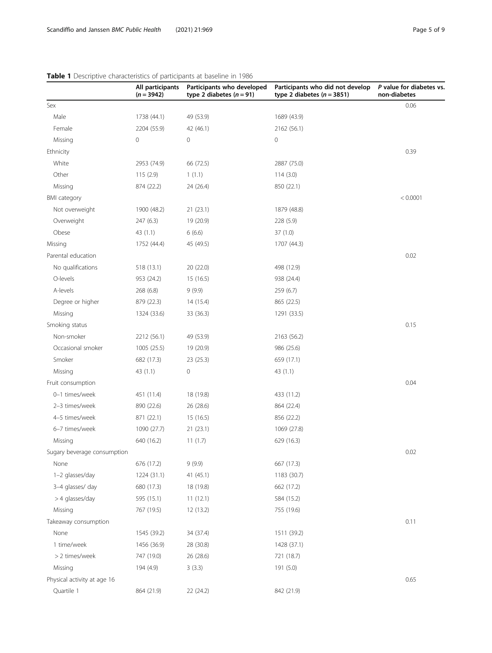|                             | All participants<br>$(n = 3942)$ | Participants who developed<br>type 2 diabetes $(n = 91)$ | Participants who did not develop<br>type 2 diabetes ( $n = 3851$ ) | P value for diabetes vs.<br>non-diabetes |
|-----------------------------|----------------------------------|----------------------------------------------------------|--------------------------------------------------------------------|------------------------------------------|
| Sex                         |                                  |                                                          |                                                                    | 0.06                                     |
| Male                        | 1738 (44.1)                      | 49 (53.9)                                                | 1689 (43.9)                                                        |                                          |
| Female                      | 2204 (55.9)                      | 42 (46.1)                                                | 2162 (56.1)                                                        |                                          |
| Missing                     | 0                                | 0                                                        | 0                                                                  |                                          |
| Ethnicity                   |                                  |                                                          |                                                                    | 0.39                                     |
| White                       | 2953 (74.9)                      | 66 (72.5)                                                | 2887 (75.0)                                                        |                                          |
| Other                       | 115(2.9)                         | 1(1.1)                                                   | 114(3.0)                                                           |                                          |
| Missing                     | 874 (22.2)                       | 24 (26.4)                                                | 850 (22.1)                                                         |                                          |
| <b>BMI</b> category         |                                  |                                                          |                                                                    | < 0.0001                                 |
| Not overweight              | 1900 (48.2)                      | 21(23.1)                                                 | 1879 (48.8)                                                        |                                          |
| Overweight                  | 247 (6.3)                        | 19 (20.9)                                                | 228 (5.9)                                                          |                                          |
| Obese                       | 43 (1.1)                         | 6(6.6)                                                   | 37(1.0)                                                            |                                          |
| Missing                     | 1752 (44.4)                      | 45 (49.5)                                                | 1707 (44.3)                                                        |                                          |
| Parental education          |                                  |                                                          |                                                                    | 0.02                                     |
| No qualifications           | 518 (13.1)                       | 20 (22.0)                                                | 498 (12.9)                                                         |                                          |
| O-levels                    | 953 (24.2)                       | 15 (16.5)                                                | 938 (24.4)                                                         |                                          |
| A-levels                    | 268(6.8)                         | 9(9.9)                                                   | 259 (6.7)                                                          |                                          |
| Degree or higher            | 879 (22.3)                       | 14 (15.4)                                                | 865 (22.5)                                                         |                                          |
| Missing                     | 1324 (33.6)                      | 33 (36.3)                                                | 1291 (33.5)                                                        |                                          |
| Smoking status              |                                  |                                                          |                                                                    | 0.15                                     |
| Non-smoker                  | 2212 (56.1)                      | 49 (53.9)                                                | 2163 (56.2)                                                        |                                          |
| Occasional smoker           | 1005 (25.5)                      | 19 (20.9)                                                | 986 (25.6)                                                         |                                          |
| Smoker                      | 682 (17.3)                       | 23 (25.3)                                                | 659 (17.1)                                                         |                                          |
| Missing                     | 43 (1.1)                         | $\mathsf{O}\xspace$                                      | 43 (1.1)                                                           |                                          |
| Fruit consumption           |                                  |                                                          |                                                                    | 0.04                                     |
| 0-1 times/week              | 451 (11.4)                       | 18 (19.8)                                                | 433 (11.2)                                                         |                                          |
| 2-3 times/week              | 890 (22.6)                       | 26 (28.6)                                                | 864 (22.4)                                                         |                                          |
| 4-5 times/week              | 871 (22.1)                       | 15 (16.5)                                                | 856 (22.2)                                                         |                                          |
| 6-7 times/week              | 1090 (27.7)                      | 21(23.1)                                                 | 1069 (27.8)                                                        |                                          |
| Missing                     | 640 (16.2)                       | 11(1.7)                                                  | 629 (16.3)                                                         |                                          |
| Sugary beverage consumption |                                  |                                                          |                                                                    | 0.02                                     |
| None                        | 676 (17.2)                       | 9(9.9)                                                   | 667 (17.3)                                                         |                                          |
| 1-2 glasses/day             | 1224 (31.1)                      | 41(45.1)                                                 | 1183 (30.7)                                                        |                                          |
| 3-4 glasses/ day            | 680 (17.3)                       | 18 (19.8)                                                | 662 (17.2)                                                         |                                          |
| > 4 glasses/day             | 595 (15.1)                       | 11(12.1)                                                 | 584 (15.2)                                                         |                                          |
| Missing                     | 767 (19.5)                       | 12(13.2)                                                 | 755 (19.6)                                                         |                                          |
| Takeaway consumption        |                                  |                                                          |                                                                    | 0.11                                     |
| None                        | 1545 (39.2)                      | 34 (37.4)                                                | 1511 (39.2)                                                        |                                          |
| 1 time/week                 | 1456 (36.9)                      | 28 (30.8)                                                | 1428 (37.1)                                                        |                                          |
| > 2 times/week              | 747 (19.0)                       | 26 (28.6)                                                | 721 (18.7)                                                         |                                          |
| Missing                     | 194 (4.9)                        | 3(3.3)                                                   | 191 (5.0)                                                          |                                          |
| Physical activity at age 16 |                                  |                                                          |                                                                    | 0.65                                     |
| Quartile 1                  | 864 (21.9)                       | 22 (24.2)                                                | 842 (21.9)                                                         |                                          |

## <span id="page-4-0"></span>Table 1 Descriptive characteristics of participants at baseline in 1986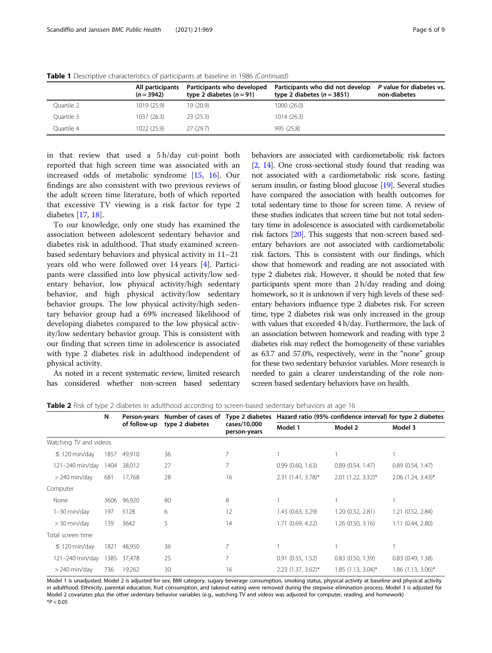|            | All participants<br>$(n = 3942)$ | Participants who developed<br>type 2 diabetes $(n = 91)$ | Participants who did not develop<br>type 2 diabetes $(n = 3851)$ | P value for diabetes vs.<br>non-diabetes |
|------------|----------------------------------|----------------------------------------------------------|------------------------------------------------------------------|------------------------------------------|
| Ouartile 2 | 1019 (25.9)                      | 19 (20.9)                                                | 1000 (26.0)                                                      |                                          |
| Ouartile 3 | 1037 (26.3)                      | 23(25.3)                                                 | 1014(26.3)                                                       |                                          |
| Quartile 4 | 1022 (25.9)                      | 27(29.7)                                                 | 995 (25.8)                                                       |                                          |

<span id="page-5-0"></span>Table 1 Descriptive characteristics of participants at baseline in 1986 (Continued)

in that review that used a 5 h/day cut-point both reported that high screen time was associated with an increased odds of metabolic syndrome [[15,](#page-8-0) [16\]](#page-8-0). Our findings are also consistent with two previous reviews of the adult screen time literature, both of which reported that excessive TV viewing is a risk factor for type 2 diabetes [[17,](#page-8-0) [18\]](#page-8-0).

To our knowledge, only one study has examined the association between adolescent sedentary behavior and diabetes risk in adulthood. That study examined screenbased sedentary behaviors and physical activity in 11–21 years old who were followed over 14 years [[4\]](#page-8-0). Participants were classified into low physical activity/low sedentary behavior, low physical activity/high sedentary behavior, and high physical activity/low sedentary behavior groups. The low physical activity/high sedentary behavior group had a 69% increased likelihood of developing diabetes compared to the low physical activity/low sedentary behavior group. This is consistent with our finding that screen time in adolescence is associated with type 2 diabetes risk in adulthood independent of physical activity.

As noted in a recent systematic review, limited research has considered whether non-screen based sedentary

behaviors are associated with cardiometabolic risk factors [[2](#page-8-0), [14\]](#page-8-0). One cross-sectional study found that reading was not associated with a cardiometabolic risk score, fasting serum insulin, or fasting blood glucose [\[19\]](#page-8-0). Several studies have compared the association with health outcomes for total sedentary time to those for screen time. A review of these studies indicates that screen time but not total sedentary time in adolescence is associated with cardiometabolic risk factors [\[20\]](#page-8-0). This suggests that non-screen based sedentary behaviors are not associated with cardiometabolic risk factors. This is consistent with our findings, which show that homework and reading are not associated with type 2 diabetes risk. However, it should be noted that few participants spent more than 2 h/day reading and doing homework, so it is unknown if very high levels of these sedentary behaviors influence type 2 diabetes risk. For screen time, type 2 diabetes risk was only increased in the group with values that exceeded 4 h/day. Furthermore, the lack of an association between homework and reading with type 2 diabetes risk may reflect the homogeneity of these variables as 63.7 and 57.0%, respectively, were in the "none" group for these two sedentary behavior variables. More research is needed to gain a clearer understanding of the role nonscreen based sedentary behaviors have on health.

|                        | N<br>of follow-up |                 | Person-years                 | Number of cases of | Type 2 diabetes      | Hazard ratio (95% confidence interval) for type 2 diabetes |                       |  |
|------------------------|-------------------|-----------------|------------------------------|--------------------|----------------------|------------------------------------------------------------|-----------------------|--|
|                        |                   | type 2 diabetes | cases/10,000<br>person-years | Model 1            | Model 2              | Model 3                                                    |                       |  |
| Watching TV and videos |                   |                 |                              |                    |                      |                                                            |                       |  |
| $\leq 120$ min/day     | 1857              | 49,910          | 36                           | 7                  |                      |                                                            |                       |  |
| 121-240 min/day        | 1404              | 38,012          | 27                           | 7                  | 0.99(0.60, 1.63)     | 0.89(0.54, 1.47)                                           | 0.89(0.54, 1.47)      |  |
| $> 240$ min/day        | 681               | 17.768          | 28                           | 16                 | $2.31$ (1.41, 3.78)* | $2.01$ (1.22, 3.32)*                                       | $2.06$ (1.24, 3.43)*  |  |
| Computer               |                   |                 |                              |                    |                      |                                                            |                       |  |
| None                   | 3606              | 96,920          | 80                           | 8                  |                      |                                                            |                       |  |
| $1-30$ min/day         | 197               | 5128            | 6                            | 12                 | 1.43 (0.63, 3.29)    | 1.20 (0.52, 2.81)                                          | 1.21 (0.52, 2.84)     |  |
| $>$ 30 min/day         | 139               | 3642            | 5                            | 14                 | 1.71 (0.69, 4.22)    | 1.26(0.50, 3.16)                                           | 1.11(0.44, 2.80)      |  |
| Total screen time      |                   |                 |                              |                    |                      |                                                            |                       |  |
| $\leq 120$ min/day     | 1821              | 48,950          | 36                           | 7                  |                      |                                                            |                       |  |
| 121-240 min/day        | 1385              | 37.478          | 25                           | 7                  | 0.91(0.55, 1.52)     | $0.83$ $(0.50, 1.39)$                                      | $0.83$ $(0.49, 1.38)$ |  |
| $> 240$ min/day        | 736               | 19,262          | 30                           | 16                 | $2.23$ (1.37, 3.62)* | $1.85$ (1.13, 3.04)*                                       | $1.86$ (1.13, 3.06)*  |  |

Table 2 Risk of type 2 diabetes in adulthood according to screen-based sedentary behaviors at age 16

Model 1 is unadjusted. Model 2 is adjusted for sex, BMI category, sugary beverage consumption, smoking status, physical activity at baseline and physical activity in adulthood. Ethnicity, parental education, fruit consumption, and takeout eating were removed during the stepwise elimination process. Model 3 is adjusted for Model 2 covariates plus the other sedentary behavior variables (e.g., watching TV and videos was adjusted for computer, reading, and homework)  $*P < 0.05$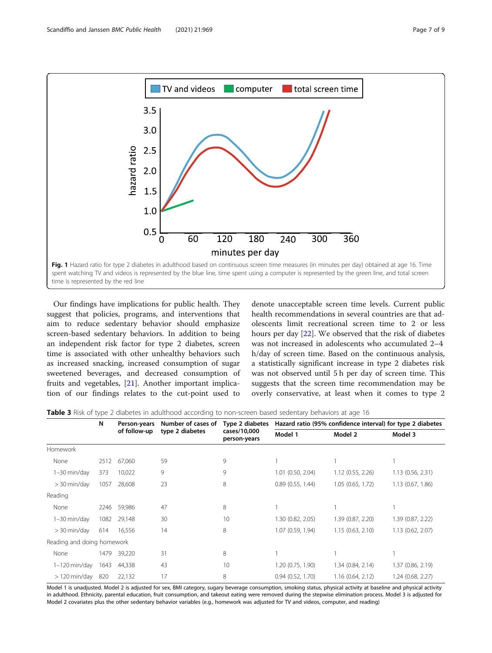<span id="page-6-0"></span>

Our findings have implications for public health. They suggest that policies, programs, and interventions that aim to reduce sedentary behavior should emphasize screen-based sedentary behaviors. In addition to being an independent risk factor for type 2 diabetes, screen time is associated with other unhealthy behaviors such as increased snacking, increased consumption of sugar sweetened beverages, and decreased consumption of fruits and vegetables, [\[21](#page-8-0)]. Another important implication of our findings relates to the cut-point used to

denote unacceptable screen time levels. Current public health recommendations in several countries are that adolescents limit recreational screen time to 2 or less hours per day [\[22](#page-8-0)]. We observed that the risk of diabetes was not increased in adolescents who accumulated 2–4 h/day of screen time. Based on the continuous analysis, a statistically significant increase in type 2 diabetes risk was not observed until 5 h per day of screen time. This suggests that the screen time recommendation may be overly conservative, at least when it comes to type 2

**Table 3** Risk of type 2 diabetes in adulthood according to non-screen based sedentary behaviors at age 16

|                            | $\sim$ |              |                    |                                                 |                                                            |                   |                   |
|----------------------------|--------|--------------|--------------------|-------------------------------------------------|------------------------------------------------------------|-------------------|-------------------|
|                            | N      | Person-years | Number of cases of | Type 2 diabetes<br>cases/10,000<br>person-years | Hazard ratio (95% confidence interval) for type 2 diabetes |                   |                   |
|                            |        | of follow-up | type 2 diabetes    |                                                 | Model 1                                                    | Model 2           | Model 3           |
| Homework                   |        |              |                    |                                                 |                                                            |                   |                   |
| None                       | 2512   | 67,060       | 59                 | 9                                               |                                                            |                   |                   |
| 1-30 min/day               | 373    | 10,022       | 9                  | 9                                               | 1.01 (0.50, 2.04)                                          | 1.12(0.55, 2.26)  | 1.13(0.56, 2.31)  |
| $>$ 30 min/day             | 1057   | 28,608       | 23                 | 8                                               | 0.89(0.55, 1.44)                                           | 1.05 (0.65, 1.72) | 1.13 (0.67, 1.86) |
| Reading                    |        |              |                    |                                                 |                                                            |                   |                   |
| None                       | 2246   | 59,986       | 47                 | 8                                               |                                                            |                   |                   |
| 1-30 min/day               | 1082   | 29,148       | 30                 | 10                                              | 1.30 (0.82, 2.05)                                          | 1.39 (0.87, 2.20) | 1.39 (0.87, 2.22) |
| $>$ 30 min/day             | 614    | 16,556       | 14                 | 8                                               | 1.07 (0.59, 1.94)                                          | 1.15(0.63, 2.10)  | 1.13 (0.62, 2.07) |
| Reading and doing homework |        |              |                    |                                                 |                                                            |                   |                   |
| None                       | 1479   | 39,220       | 31                 | 8                                               |                                                            |                   |                   |
| $1-120$ min/day            | 1643   | 44,338       | 43                 | 10                                              | 1.20 (0.75, 1.90)                                          | 1.34 (0.84, 2.14) | 1.37 (0.86, 2.19) |
| $>120$ min/day             | 820    | 22,132       | 17                 | 8                                               | 0.94(0.52, 1.70)                                           | 1.16(0.64, 2.12)  | 1.24 (0.68, 2.27) |
|                            |        |              |                    |                                                 |                                                            |                   |                   |

Model 1 is unadjusted. Model 2 is adjusted for sex, BMI category, sugary beverage consumption, smoking status, physical activity at baseline and physical activity in adulthood. Ethnicity, parental education, fruit consumption, and takeout eating were removed during the stepwise elimination process. Model 3 is adjusted for Model 2 covariates plus the other sedentary behavior variables (e.g., homework was adjusted for TV and videos, computer, and reading)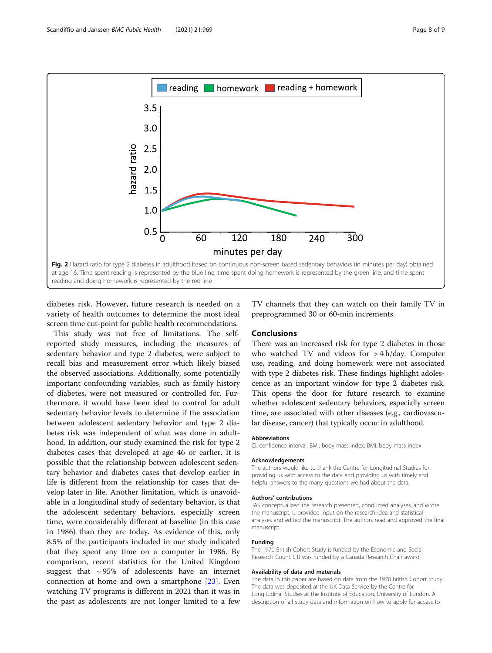<span id="page-7-0"></span>

diabetes risk. However, future research is needed on a variety of health outcomes to determine the most ideal screen time cut-point for public health recommendations.

This study was not free of limitations. The selfreported study measures, including the measures of sedentary behavior and type 2 diabetes, were subject to recall bias and measurement error which likely biased the observed associations. Additionally, some potentially important confounding variables, such as family history of diabetes, were not measured or controlled for. Furthermore, it would have been ideal to control for adult sedentary behavior levels to determine if the association between adolescent sedentary behavior and type 2 diabetes risk was independent of what was done in adulthood. In addition, our study examined the risk for type 2 diabetes cases that developed at age 46 or earlier. It is possible that the relationship between adolescent sedentary behavior and diabetes cases that develop earlier in life is different from the relationship for cases that develop later in life. Another limitation, which is unavoidable in a longitudinal study of sedentary behavior, is that the adolescent sedentary behaviors, especially screen time, were considerably different at baseline (in this case in 1986) than they are today. As evidence of this, only 8.5% of the participants included in our study indicated that they spent any time on a computer in 1986. By comparison, recent statistics for the United Kingdom suggest that  $\sim$  95% of adolescents have an internet connection at home and own a smartphone [\[23](#page-8-0)]. Even watching TV programs is different in 2021 than it was in the past as adolescents are not longer limited to a few

TV channels that they can watch on their family TV in preprogrammed 30 or 60-min increments.

## **Conclusions**

There was an increased risk for type 2 diabetes in those who watched TV and videos for > 4 h/day. Computer use, reading, and doing homework were not associated with type 2 diabetes risk. These findings highlight adolescence as an important window for type 2 diabetes risk. This opens the door for future research to examine whether adolescent sedentary behaviors, especially screen time, are associated with other diseases (e.g., cardiovascular disease, cancer) that typically occur in adulthood.

## Abbreviations

CI: confidence interval; BMI: body mass index; BMI: body mass index

#### Acknowledgements

The authors would like to thank the Centre for Longitudinal Studies for providing us with access to the data and providing us with timely and helpful answers to the many questions we had about the data.

#### Authors' contributions

JAS conceptualized the research presented, conducted analyses, and wrote the manuscript. IJ provided input on the research idea and statistical analyses and edited the manuscript. The authors read and approved the final manuscript.

## Funding

The 1970 British Cohort Study is funded by the Economic and Social Research Council. IJ was funded by a Canada Research Chair award.

#### Availability of data and materials

The data in this paper are based on data from the 1970 British Cohort Study. The data was deposited at the UK Data Service by the Centre for Longitudinal Studies at the Institute of Education, University of London. A description of all study data and information on how to apply for access to